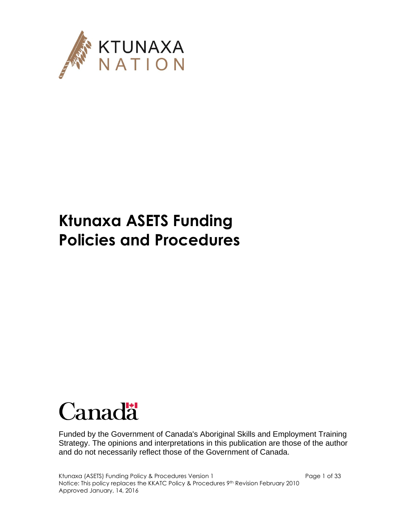

# **Ktunaxa ASETS Funding Policies and Procedures**

# Canadä

Funded by the Government of Canada's Aboriginal Skills and Employment Training Strategy. The opinions and interpretations in this publication are those of the author and do not necessarily reflect those of the Government of Canada.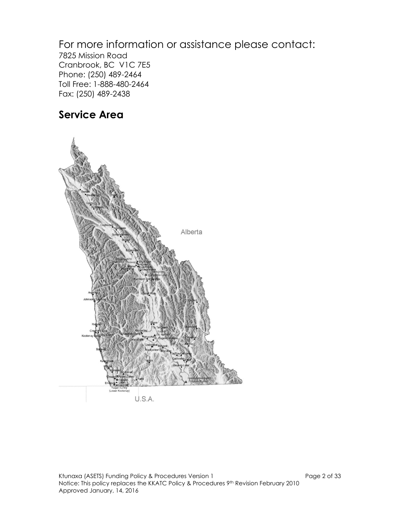### For more information or assistance please contact:

7825 Mission Road Cranbrook, BC V1C 7E5 Phone: (250) 489-2464 Toll Free: 1-888-480-2464 Fax: (250) 489-2438

### **Service Area**

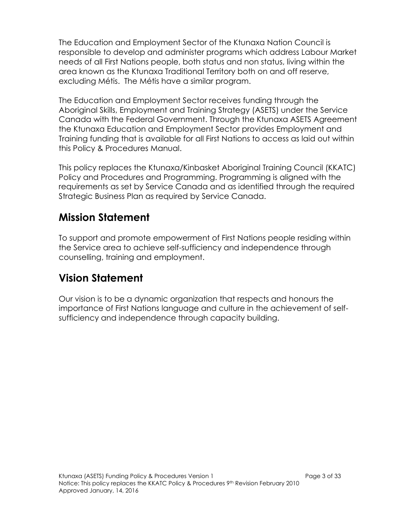The Education and Employment Sector of the Ktunaxa Nation Council is responsible to develop and administer programs which address Labour Market needs of all First Nations people, both status and non status, living within the area known as the Ktunaxa Traditional Territory both on and off reserve, excluding Métis. The Métis have a similar program.

The Education and Employment Sector receives funding through the Aboriginal Skills, Employment and Training Strategy (ASETS) under the Service Canada with the Federal Government. Through the Ktunaxa ASETS Agreement the Ktunaxa Education and Employment Sector provides Employment and Training funding that is available for all First Nations to access as laid out within this Policy & Procedures Manual.

This policy replaces the Ktunaxa/Kinbasket Aboriginal Training Council (KKATC) Policy and Procedures and Programming. Programming is aligned with the requirements as set by Service Canada and as identified through the required Strategic Business Plan as required by Service Canada.

### **Mission Statement**

To support and promote empowerment of First Nations people residing within the Service area to achieve self-sufficiency and independence through counselling, training and employment.

## **Vision Statement**

Our vision is to be a dynamic organization that respects and honours the importance of First Nations language and culture in the achievement of selfsufficiency and independence through capacity building.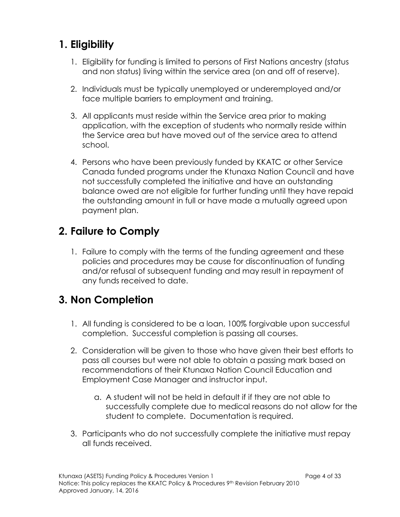### **1. Eligibility**

- 1. Eligibility for funding is limited to persons of First Nations ancestry (status and non status) living within the service area (on and off of reserve).
- 2. Individuals must be typically unemployed or underemployed and/or face multiple barriers to employment and training.
- 3. All applicants must reside within the Service area prior to making application, with the exception of students who normally reside within the Service area but have moved out of the service area to attend school.
- 4. Persons who have been previously funded by KKATC or other Service Canada funded programs under the Ktunaxa Nation Council and have not successfully completed the initiative and have an outstanding balance owed are not eligible for further funding until they have repaid the outstanding amount in full or have made a mutually agreed upon payment plan.

### **2. Failure to Comply**

1. Failure to comply with the terms of the funding agreement and these policies and procedures may be cause for discontinuation of funding and/or refusal of subsequent funding and may result in repayment of any funds received to date.

## **3. Non Completion**

- 1. All funding is considered to be a loan, 100% forgivable upon successful completion. Successful completion is passing all courses.
- 2. Consideration will be given to those who have given their best efforts to pass all courses but were not able to obtain a passing mark based on recommendations of their Ktunaxa Nation Council Education and Employment Case Manager and instructor input.
	- a. A student will not be held in default if if they are not able to successfully complete due to medical reasons do not allow for the student to complete. Documentation is required.
- 3. Participants who do not successfully complete the initiative must repay all funds received.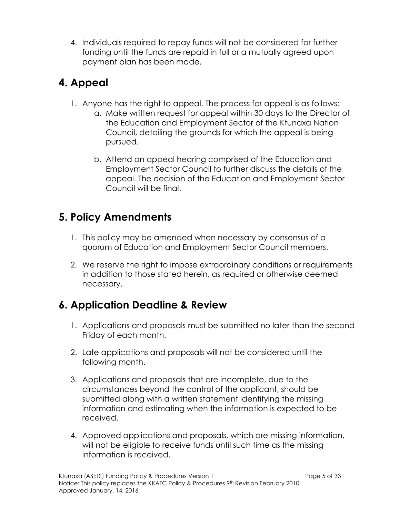4. Individuals required to repay funds will not be considered for further funding until the funds are repaid in full or a mutually agreed upon payment plan has been made.

# **4. Appeal**

- 1. Anyone has the right to appeal. The process for appeal is as follows:
	- a. Make written request for appeal within 30 days to the Director of the Education and Employment Sector of the Ktunaxa Nation Council, detailing the grounds for which the appeal is being pursued.
	- b. Attend an appeal hearing comprised of the Education and Employment Sector Council to further discuss the details of the appeal. The decision of the Education and Employment Sector Council will be final.

# **5. Policy Amendments**

- 1. This policy may be amended when necessary by consensus of a quorum of Education and Employment Sector Council members.
- 2. We reserve the right to impose extraordinary conditions or requirements in addition to those stated herein, as required or otherwise deemed necessary.

## **6. Application Deadline & Review**

- 1. Applications and proposals must be submitted no later than the second Friday of each month.
- 2. Late applications and proposals will not be considered until the following month.
- 3. Applications and proposals that are incomplete, due to the circumstances beyond the control of the applicant, should be submitted along with a written statement identifying the missing information and estimating when the information is expected to be received.
- 4. Approved applications and proposals, which are missing information, will not be eligible to receive funds until such time as the missing information is received.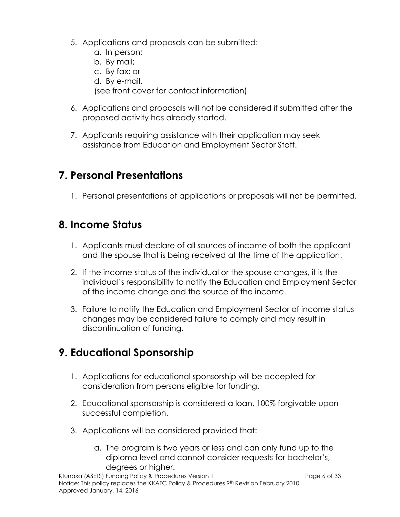- 5. Applications and proposals can be submitted:
	- a. In person;
	- b. By mail;
	- c. By fax; or
	- d. By e-mail.

(see front cover for contact information)

- 6. Applications and proposals will not be considered if submitted after the proposed activity has already started.
- 7. Applicants requiring assistance with their application may seek assistance from Education and Employment Sector Staff.

### **7. Personal Presentations**

1. Personal presentations of applications or proposals will not be permitted.

### **8. Income Status**

- 1. Applicants must declare of all sources of income of both the applicant and the spouse that is being received at the time of the application.
- 2. If the income status of the individual or the spouse changes, it is the individual's responsibility to notify the Education and Employment Sector of the income change and the source of the income.
- 3. Failure to notify the Education and Employment Sector of income status changes may be considered failure to comply and may result in discontinuation of funding.

## **9. Educational Sponsorship**

- 1. Applications for educational sponsorship will be accepted for consideration from persons eligible for funding.
- 2. Educational sponsorship is considered a loan, 100% forgivable upon successful completion.
- 3. Applications will be considered provided that:
	- a. The program is two years or less and can only fund up to the diploma level and cannot consider requests for bachelor's, degrees or higher.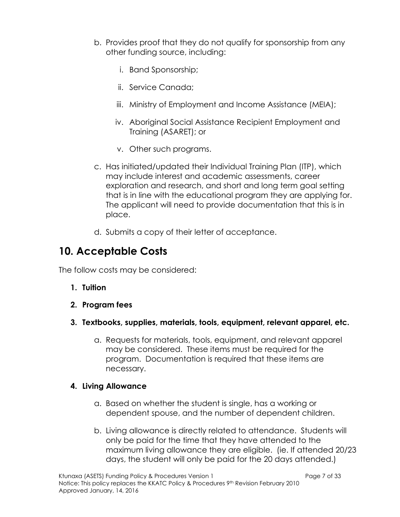- b. Provides proof that they do not qualify for sponsorship from any other funding source, including:
	- i. Band Sponsorship;
	- ii. Service Canada;
	- iii. Ministry of Employment and Income Assistance (MEIA);
	- iv. Aboriginal Social Assistance Recipient Employment and Training (ASARET); or
	- v. Other such programs.
- c. Has initiated/updated their Individual Training Plan (ITP), which may include interest and academic assessments, career exploration and research, and short and long term goal setting that is in line with the educational program they are applying for. The applicant will need to provide documentation that this is in place.
- d. Submits a copy of their letter of acceptance.

# **10. Acceptable Costs**

The follow costs may be considered:

- **1. Tuition**
- **2. Program fees**
- **3. Textbooks, supplies, materials, tools, equipment, relevant apparel, etc.** 
	- a. Requests for materials, tools, equipment, and relevant apparel may be considered. These items must be required for the program. Documentation is required that these items are necessary.

### **4. Living Allowance**

- a. Based on whether the student is single, has a working or dependent spouse, and the number of dependent children.
- b. Living allowance is directly related to attendance. Students will only be paid for the time that they have attended to the maximum living allowance they are eligible. (ie. If attended 20/23 days, the student will only be paid for the 20 days attended.)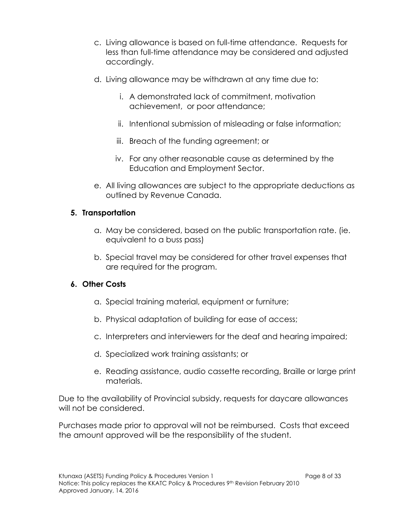- c. Living allowance is based on full-time attendance. Requests for less than full-time attendance may be considered and adjusted accordingly.
- d. Living allowance may be withdrawn at any time due to:
	- i. A demonstrated lack of commitment, motivation achievement, or poor attendance;
	- ii. Intentional submission of misleading or false information;
	- iii. Breach of the funding agreement; or
	- iv. For any other reasonable cause as determined by the Education and Employment Sector.
- e. All living allowances are subject to the appropriate deductions as outlined by Revenue Canada.

### **5. Transportation**

- a. May be considered, based on the public transportation rate. (ie. equivalent to a buss pass)
- b. Special travel may be considered for other travel expenses that are required for the program.

### **6. Other Costs**

- a. Special training material, equipment or furniture;
- b. Physical adaptation of building for ease of access;
- c. Interpreters and interviewers for the deaf and hearing impaired;
- d. Specialized work training assistants; or
- e. Reading assistance, audio cassette recording, Braille or large print materials.

Due to the availability of Provincial subsidy, requests for daycare allowances will not be considered.

Purchases made prior to approval will not be reimbursed. Costs that exceed the amount approved will be the responsibility of the student.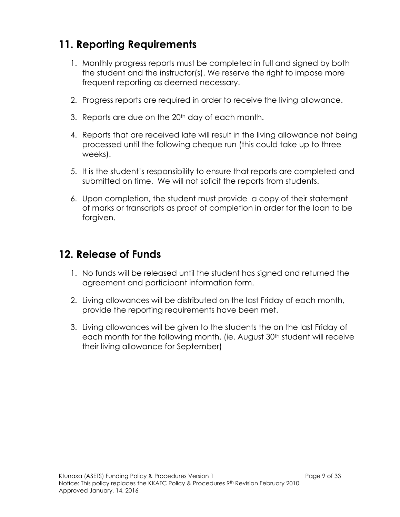### **11. Reporting Requirements**

- 1. Monthly progress reports must be completed in full and signed by both the student and the instructor(s). We reserve the right to impose more frequent reporting as deemed necessary.
- 2. Progress reports are required in order to receive the living allowance.
- 3. Reports are due on the 20<sup>th</sup> day of each month.
- 4. Reports that are received late will result in the living allowance not being processed until the following cheque run (this could take up to three weeks).
- 5. It is the student's responsibility to ensure that reports are completed and submitted on time. We will not solicit the reports from students.
- 6. Upon completion, the student must provide a copy of their statement of marks or transcripts as proof of completion in order for the loan to be forgiven.

### **12. Release of Funds**

- 1. No funds will be released until the student has signed and returned the agreement and participant information form.
- 2. Living allowances will be distributed on the last Friday of each month, provide the reporting requirements have been met.
- 3. Living allowances will be given to the students the on the last Friday of each month for the following month. (ie. August 30<sup>th</sup> student will receive their living allowance for September)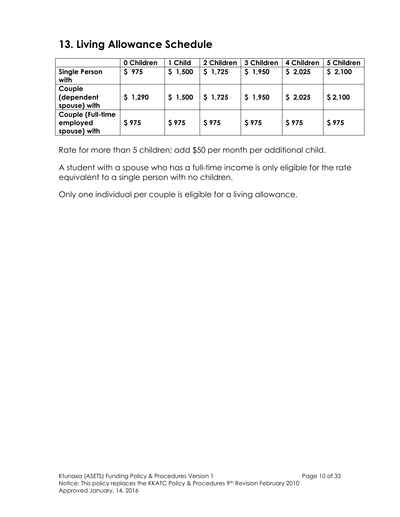### **13. Living Allowance Schedule**

|                                                      | 0 Children | 1 Child     | 2 Children   | 3 Children | 4 Children | 5 Children |
|------------------------------------------------------|------------|-------------|--------------|------------|------------|------------|
| <b>Single Person</b><br>with                         | \$975      | 1,500<br>S. | \$1,725      | \$1,950    | \$2,025    | \$2,100    |
| Couple<br>(dependent<br>spouse) with                 | \$1,290    | \$1,500     | \$1,725      | \$1,950    | \$2,025    | \$2,100    |
| <b>Couple (Full-time</b><br>employed<br>spouse) with | \$975      | \$975       | <b>\$975</b> | \$975      | \$975      | \$975      |

Rate for more than 5 children; add \$50 per month per additional child.

A student with a spouse who has a full-time income is only eligible for the rate equivalent to a single person with no children.

Only one individual per couple is eligible for a living allowance.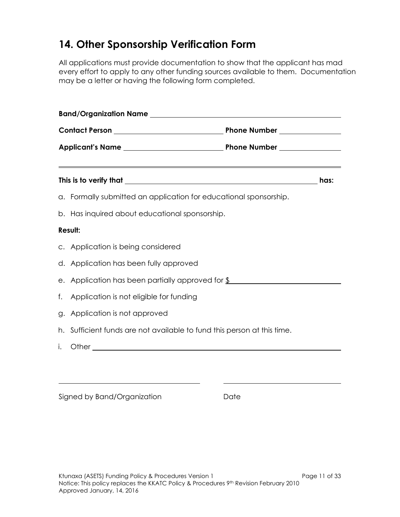### **14. Other Sponsorship Verification Form**

All applications must provide documentation to show that the applicant has mad every effort to apply to any other funding sources available to them. Documentation may be a letter or having the following form completed.

|    |                                                                                      |  | has: |
|----|--------------------------------------------------------------------------------------|--|------|
|    | a. Formally submitted an application for educational sponsorship.                    |  |      |
|    | b. Has inquired about educational sponsorship.                                       |  |      |
|    | Result:                                                                              |  |      |
|    | c. Application is being considered                                                   |  |      |
|    | d. Application has been fully approved                                               |  |      |
|    | e. Application has been partially approved for $\frac{1}{2}$ _______________________ |  |      |
|    | f. Application is not eligible for funding                                           |  |      |
|    | g. Application is not approved                                                       |  |      |
|    | h. Sufficient funds are not available to fund this person at this time.              |  |      |
| i. |                                                                                      |  |      |

Signed by Band/Organization Date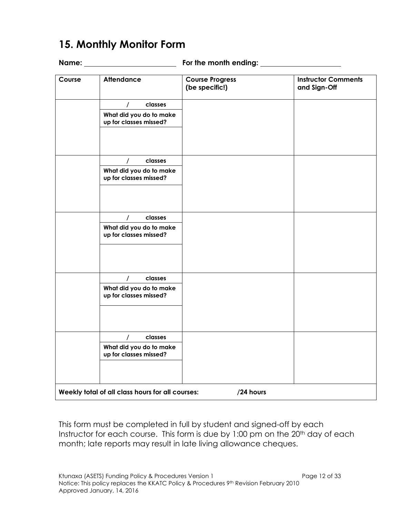### **15. Monthly Monitor Form**

| Name:  |                                                   |                                          |                                            |
|--------|---------------------------------------------------|------------------------------------------|--------------------------------------------|
| Course | <b>Attendance</b>                                 | <b>Course Progress</b><br>(be specific!) | <b>Instructor Comments</b><br>and Sign-Off |
|        | classes<br>$\sqrt{ }$                             |                                          |                                            |
|        | What did you do to make<br>up for classes missed? |                                          |                                            |
|        | classes<br>$\prime$                               |                                          |                                            |
|        | What did you do to make<br>up for classes missed? |                                          |                                            |
|        | $\prime$<br>classes<br>What did you do to make    |                                          |                                            |
|        | up for classes missed?                            |                                          |                                            |
|        | classes<br>$\prime$                               |                                          |                                            |
|        | What did you do to make<br>up for classes missed? |                                          |                                            |
|        |                                                   |                                          |                                            |
|        | classes<br>$\prime$                               |                                          |                                            |
|        | What did you do to make<br>up for classes missed? |                                          |                                            |
|        | Weekly total of all class hours for all courses:  | /24 hours                                |                                            |

This form must be completed in full by student and signed-off by each Instructor for each course. This form is due by 1:00 pm on the 20<sup>th</sup> day of each month; late reports may result in late living allowance cheques.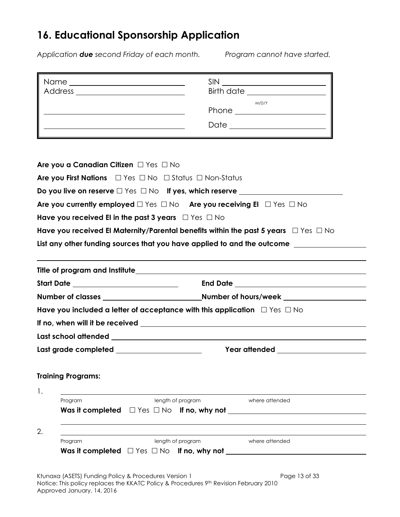### **16. Educational Sponsorship Application**

*Application due second Friday of each month. Program cannot have started.*

| Name    | <b>SIN</b>             |
|---------|------------------------|
| Address | <b>Birth date</b>      |
|         | M/D/Y<br>Phone<br>Date |

| Are you a Canadian Citizen $\Box$ Yes $\Box$ No                                                      |                                                             |  |
|------------------------------------------------------------------------------------------------------|-------------------------------------------------------------|--|
| Are you First Nations $\Box$ Yes $\Box$ No $\Box$ Status $\Box$ Non-Status                           |                                                             |  |
| Do you live on reserve $\square$ Yes $\square$ No If yes, which reserve $\_\_$                       |                                                             |  |
| Are you currently employed □ Yes □ No Are you receiving El □ Yes □ No                                |                                                             |  |
| Have you received El in the past 3 years $\Box$ Yes $\Box$ No                                        |                                                             |  |
| Have you received El Maternity/Parental benefits within the past 5 years $\Box$ Yes $\Box$ No        |                                                             |  |
| List any other funding sources that you have applied to and the outcome                              |                                                             |  |
|                                                                                                      |                                                             |  |
|                                                                                                      |                                                             |  |
|                                                                                                      |                                                             |  |
| Have you included a letter of acceptance with this application $\Box$ Yes $\Box$ No                  |                                                             |  |
|                                                                                                      |                                                             |  |
|                                                                                                      |                                                             |  |
| Last grade completed _____________________                                                           |                                                             |  |
| <b>Training Programs:</b>                                                                            |                                                             |  |
| $\mathbf{1}$ .<br>length of program<br>Program                                                       | where attended                                              |  |
|                                                                                                      | Was it completed $\Box$ Yes $\Box$ No If no, why not $\Box$ |  |
| 2.                                                                                                   |                                                             |  |
| length of program<br>Program                                                                         | where attended                                              |  |
| $V_{\text{max}}$ $\sim$ $\sim$ $I_{\text{A}}$ CFTC). Functional Deliver 0. Decays of least $\sim$ 1. | $P_{\text{max}}$ 10 $\pm$ 00                                |  |

Ktunaxa (ASETS) Funding Policy & Procedures Version 1 and Page 13 of 33 and 23 of 33 Notice: This policy replaces the KKATC Policy & Procedures 9th Revision February 2010 Approved January, 14, 2016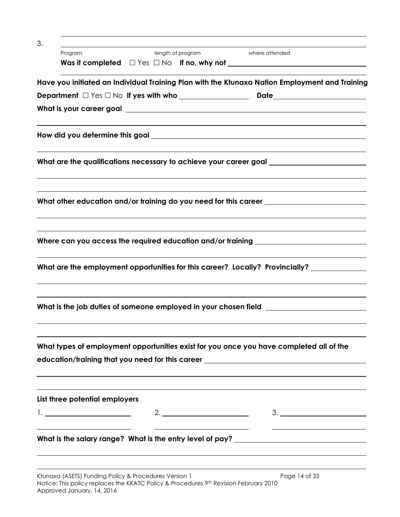| 3. |                                                       |                   |                                                                                                                                                                             |
|----|-------------------------------------------------------|-------------------|-----------------------------------------------------------------------------------------------------------------------------------------------------------------------------|
|    | Program                                               | length of program | where attended<br>Was it completed $\Box$ Yes $\Box$ No If no, why not $\_\_\_\_\_\_\_\_\_\_\_\_\_\_\_\_\_\_\_\_\_\_\_\_\_\_\_\_\_$                                         |
|    |                                                       |                   | Have you initiated an Individual Training Plan with the Ktunaxa Nation Employment and Training                                                                              |
|    |                                                       |                   |                                                                                                                                                                             |
|    |                                                       |                   |                                                                                                                                                                             |
|    |                                                       |                   |                                                                                                                                                                             |
|    |                                                       |                   | What are the qualifications necessary to achieve your career goal _______________                                                                                           |
|    |                                                       |                   | What other education and/or training do you need for this career ________________                                                                                           |
|    |                                                       |                   | Where can you access the required education and/or training ____________________                                                                                            |
|    |                                                       |                   | What are the employment opportunities for this career? Locally? Provincially? _____________                                                                                 |
|    |                                                       |                   | What is the job duties of someone employed in your chosen field <b>wave and the solution</b>                                                                                |
|    |                                                       |                   | What types of employment opportunities exist for you once you have completed all of the<br>education/training that you need for this career _______________________________ |
|    | List three potential employers                        |                   |                                                                                                                                                                             |
|    |                                                       |                   |                                                                                                                                                                             |
|    |                                                       |                   | What is the salary range? What is the entry level of pay? _______________________                                                                                           |
|    | Ktunaxa (ASETS) Funding Policy & Procedures Version 1 |                   | Page 14 of 33                                                                                                                                                               |

Notice: This policy replaces the KKATC Policy & Procedures 9th Revision February 2010 Approved January, 14, 2016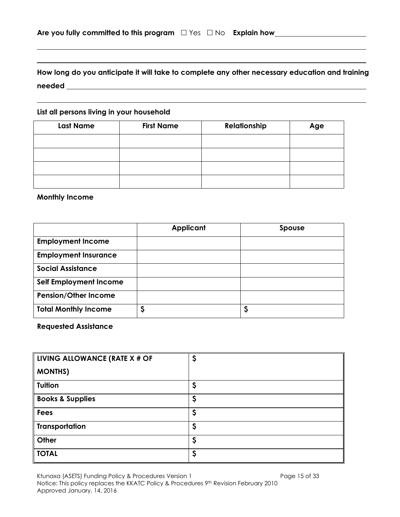|  |  | Are you fully committed to this program $\Box$ Yes $\Box$ No Explain how |  |  |  |
|--|--|--------------------------------------------------------------------------|--|--|--|
|--|--|--------------------------------------------------------------------------|--|--|--|

### **How long do you anticipate it will take to complete any other necessary education and training needed**

#### **List all persons living in your household**

| <b>Last Name</b> | <b>First Name</b> | Relationship | Age |
|------------------|-------------------|--------------|-----|
|                  |                   |              |     |
|                  |                   |              |     |
|                  |                   |              |     |
|                  |                   |              |     |

**Monthly Income**

|                             | <b>Applicant</b> | Spouse |
|-----------------------------|------------------|--------|
| <b>Employment Income</b>    |                  |        |
| <b>Employment Insurance</b> |                  |        |
| <b>Social Assistance</b>    |                  |        |
| Self Employment Income      |                  |        |
| <b>Pension/Other Income</b> |                  |        |
| <b>Total Monthly Income</b> |                  | Ş      |

**Requested Assistance**

| <b>LIVING ALLOWANCE (RATE X # OF</b> | \$ |
|--------------------------------------|----|
| MONTHS)                              |    |
| $\ $ Tuition                         | \$ |
| <b>Books &amp; Supplies</b>          | \$ |
| Fees                                 | \$ |
| Transportation                       | \$ |
| $\parallel$ Other                    | \$ |
| $\parallel$ TOTAL                    | \$ |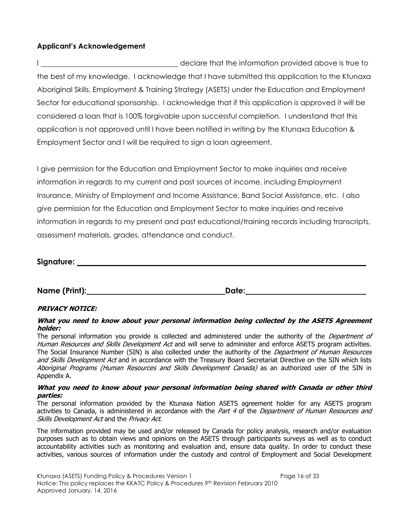### **Applicant's Acknowledgement**

I <u>example a contract that the information provided above is true to</u> the best of my knowledge. I acknowledge that I have submitted this application to the Ktunaxa Aboriginal Skills, Employment & Training Strategy (ASETS) under the Education and Employment Sector for educational sponsorship. I acknowledge that if this application is approved it will be considered a loan that is 100% forgivable upon successful completion. I understand that this application is not approved until I have been notified in writing by the Ktunaxa Education & Employment Sector and I will be required to sign a loan agreement.

I give permission for the Education and Employment Sector to make inquiries and receive information in regards to my current and past sources of income, including Employment Insurance, Ministry of Employment and Income Assistance, Band Social Assistance, etc. I also give permission for the Education and Employment Sector to make inquiries and receive information in regards to my present and past educational/training records including transcripts, assessment materials, grades, attendance and conduct.

### **Signature:**

**Name (Print): Date:**

### **PRIVACY NOTICE:**

#### **What you need to know about your personal information being collected by the ASETS Agreement holder:**

The personal information you provide is collected and administered under the authority of the *Department of* Human Resources and Skills Development Act and will serve to administer and enforce ASETS program activities. The Social Insurance Number (SIN) is also collected under the authority of the Department of Human Resources and Skills Development Act and in accordance with the Treasury Board Secretariat Directive on the SIN which lists Aboriginal Programs (Human Resources and Skills Development Canada) as an authorized user of the SIN in Appendix A.

#### **What you need to know about your personal information being shared with Canada or other third parties:**

The personal information provided by the Ktunaxa Nation ASETS agreement holder for any ASETS program activities to Canada, is administered in accordance with the Part 4 of the Department of Human Resources and Skills Development Act and the Privacy Act.

The information provided may be used and/or released by Canada for policy analysis, research and/or evaluation purposes such as to obtain views and opinions on the ASETS through participants surveys as well as to conduct accountability activities such as monitoring and evaluation and, ensure data quality. In order to conduct these activities, various sources of information under the custody and control of Employment and Social Development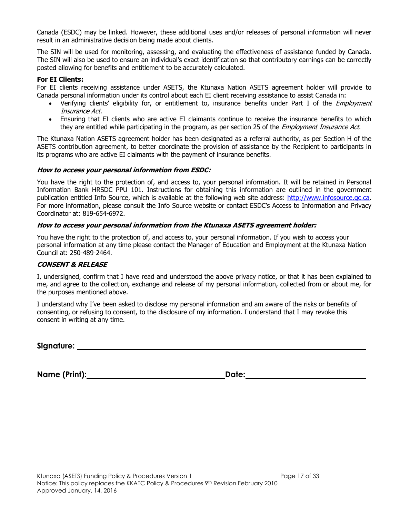Canada (ESDC) may be linked. However, these additional uses and/or releases of personal information will never result in an administrative decision being made about clients.

The SIN will be used for monitoring, assessing, and evaluating the effectiveness of assistance funded by Canada. The SIN will also be used to ensure an individual's exact identification so that contributory earnings can be correctly posted allowing for benefits and entitlement to be accurately calculated.

#### **For EI Clients:**

For EI clients receiving assistance under ASETS, the Ktunaxa Nation ASETS agreement holder will provide to Canada personal information under its control about each EI client receiving assistance to assist Canada in:

- Verifying clients' eligibility for, or entitlement to, insurance benefits under Part I of the *Employment* Insurance Act.
- Ensuring that EI clients who are active EI claimants continue to receive the insurance benefits to which they are entitled while participating in the program, as per section 25 of the *Employment Insurance Act*.

The Ktunaxa Nation ASETS agreement holder has been designated as a referral authority, as per Section H of the ASETS contribution agreement, to better coordinate the provision of assistance by the Recipient to participants in its programs who are active EI claimants with the payment of insurance benefits.

#### **How to access your personal information from ESDC:**

You have the right to the protection of, and access to, your personal information. It will be retained in Personal Information Bank HRSDC PPU 101. Instructions for obtaining this information are outlined in the government publication entitled Info Source, which is available at the following web site address: [http://www.infosource.gc.ca.](http://www.infosource.gc.ca/) For more information, please consult the Info Source website or contact ESDC's Access to Information and Privacy Coordinator at: 819-654-6972.

#### **How to access your personal information from the Ktunaxa ASETS agreement holder:**

You have the right to the protection of, and access to, your personal information. If you wish to access your personal information at any time please contact the Manager of Education and Employment at the Ktunaxa Nation Council at: 250-489-2464.

#### **CONSENT & RELEASE**

I, undersigned, confirm that I have read and understood the above privacy notice, or that it has been explained to me, and agree to the collection, exchange and release of my personal information, collected from or about me, for the purposes mentioned above.

I understand why I've been asked to disclose my personal information and am aware of the risks or benefits of consenting, or refusing to consent, to the disclosure of my information. I understand that I may revoke this consent in writing at any time.

**Signature:** 

**Name (Print): Date:**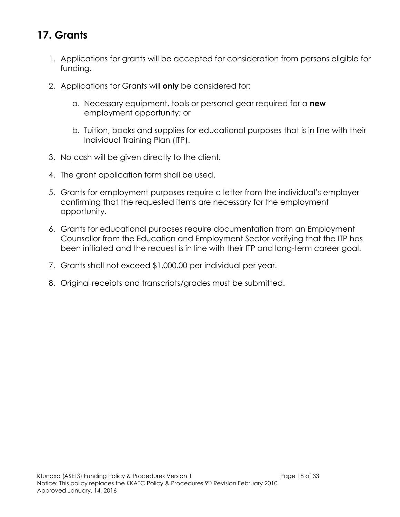# **17. Grants**

- 1. Applications for grants will be accepted for consideration from persons eligible for funding.
- 2. Applications for Grants will **only** be considered for:
	- a. Necessary equipment, tools or personal gear required for a **new** employment opportunity; or
	- b. Tuition, books and supplies for educational purposes that is in line with their Individual Training Plan (ITP).
- 3. No cash will be given directly to the client.
- 4. The grant application form shall be used.
- 5. Grants for employment purposes require a letter from the individual's employer confirming that the requested items are necessary for the employment opportunity.
- 6. Grants for educational purposes require documentation from an Employment Counsellor from the Education and Employment Sector verifying that the ITP has been initiated and the request is in line with their ITP and long-term career goal.
- 7. Grants shall not exceed \$1,000.00 per individual per year.
- 8. Original receipts and transcripts/grades must be submitted.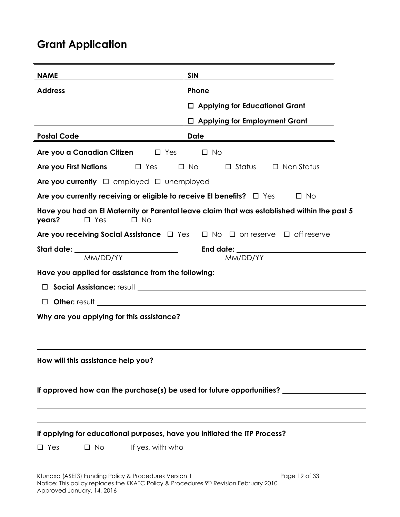# **Grant Application**

| <b>NAME</b>                                                                          | <b>SIN</b>                                                                                           |
|--------------------------------------------------------------------------------------|------------------------------------------------------------------------------------------------------|
| <b>Address</b>                                                                       | Phone                                                                                                |
|                                                                                      | $\Box$ Applying for Educational Grant                                                                |
|                                                                                      | $\Box$ Applying for Employment Grant                                                                 |
| <b>Postal Code</b>                                                                   | <b>Date</b>                                                                                          |
| Are you a Canadian Citizen Dives                                                     | $\Box$ No                                                                                            |
| <b>Are you First Nations</b> $\Box$ Yes $\Box$ No $\Box$ Status $\Box$ Non Status    |                                                                                                      |
| Are you currently $\Box$ employed $\Box$ unemployed                                  |                                                                                                      |
| Are you currently receiving or eligible to receive El benefits? $\Box$ Yes $\Box$ No |                                                                                                      |
| years?<br>$\Box$ Yes<br>$\Box$ No                                                    | Have you had an El Maternity or Parental leave claim that was established within the past 5          |
|                                                                                      | <b>Are you receiving Social Assistance</b> $\Box$ Yes $\Box$ No $\Box$ on reserve $\Box$ off reserve |
| Start date: ______________________________                                           |                                                                                                      |
| MM/DD/YY                                                                             | MM/DD/YY                                                                                             |
| Have you applied for assistance from the following:                                  |                                                                                                      |
|                                                                                      |                                                                                                      |
| $\Box$                                                                               |                                                                                                      |
|                                                                                      |                                                                                                      |
|                                                                                      |                                                                                                      |
|                                                                                      |                                                                                                      |
|                                                                                      | If approved how can the purchase(s) be used for future opportunities?                                |
|                                                                                      |                                                                                                      |
| If applying for educational purposes, have you initiated the ITP Process?            |                                                                                                      |
| $\Box$ Yes                                                                           | $\Box$ No If yes, with who $\Box$                                                                    |
|                                                                                      |                                                                                                      |
| Ktunaxa (ASETS) Funding Policy & Procedures Version 1                                | Page 19 of 33                                                                                        |

Notice: This policy replaces the KKATC Policy & Procedures 9th Revision February 2010 Approved January, 14, 2016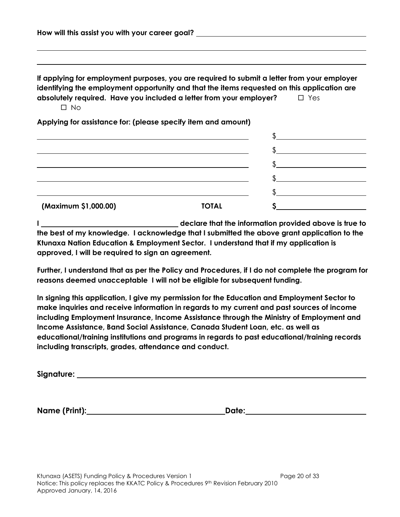| How will this assist you with your career goal? |  |
|-------------------------------------------------|--|
|                                                 |  |

**If applying for employment purposes, you are required to submit a letter from your employer identifying the employment opportunity and that the items requested on this application are absolutely required. Have you included a letter from your employer?**  $\Box$  Yes  $\square$  No

**Applying for assistance for: (please specify item and amount)**

| (Maximum \$1,000.00) | <b>TOTAL</b> |  |
|----------------------|--------------|--|
|                      |              |  |
|                      |              |  |
|                      |              |  |
|                      |              |  |
|                      |              |  |

**I declare that the information provided above is true to the best of my knowledge. I acknowledge that I submitted the above grant application to the Ktunaxa Nation Education & Employment Sector. I understand that if my application is approved, I will be required to sign an agreement.** 

**Further, I understand that as per the Policy and Procedures, if I do not complete the program for reasons deemed unacceptable I will not be eligible for subsequent funding.**

**In signing this application, I give my permission for the Education and Employment Sector to make inquiries and receive information in regards to my current and past sources of income including Employment Insurance, Income Assistance through the Ministry of Employment and Income Assistance, Band Social Assistance, Canada Student Loan, etc. as well as educational/training institutions and programs in regards to past educational/training records including transcripts, grades, attendance and conduct.**

**Signature:** 

**Name (Print): Date:**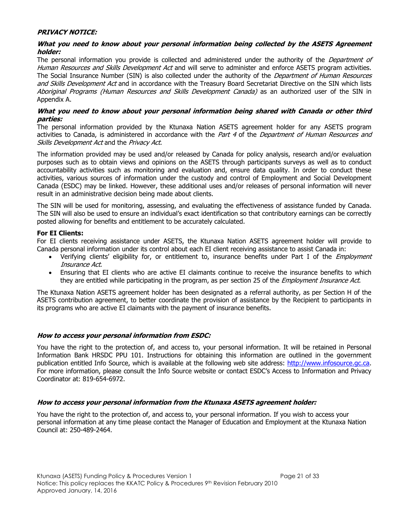#### **PRIVACY NOTICE:**

#### **What you need to know about your personal information being collected by the ASETS Agreement holder:**

The personal information you provide is collected and administered under the authority of the *Department of* Human Resources and Skills Development Act and will serve to administer and enforce ASETS program activities. The Social Insurance Number (SIN) is also collected under the authority of the *Department of Human Resources* and Skills Development Act and in accordance with the Treasury Board Secretariat Directive on the SIN which lists Aboriginal Programs (Human Resources and Skills Development Canada) as an authorized user of the SIN in Appendix A.

#### **What you need to know about your personal information being shared with Canada or other third parties:**

The personal information provided by the Ktunaxa Nation ASETS agreement holder for any ASETS program activities to Canada, is administered in accordance with the Part 4 of the Department of Human Resources and Skills Development Act and the Privacy Act.

The information provided may be used and/or released by Canada for policy analysis, research and/or evaluation purposes such as to obtain views and opinions on the ASETS through participants surveys as well as to conduct accountability activities such as monitoring and evaluation and, ensure data quality. In order to conduct these activities, various sources of information under the custody and control of Employment and Social Development Canada (ESDC) may be linked. However, these additional uses and/or releases of personal information will never result in an administrative decision being made about clients.

The SIN will be used for monitoring, assessing, and evaluating the effectiveness of assistance funded by Canada. The SIN will also be used to ensure an individual's exact identification so that contributory earnings can be correctly posted allowing for benefits and entitlement to be accurately calculated.

#### **For EI Clients:**

For EI clients receiving assistance under ASETS, the Ktunaxa Nation ASETS agreement holder will provide to Canada personal information under its control about each EI client receiving assistance to assist Canada in:

- Verifying clients' eligibility for, or entitlement to, insurance benefits under Part I of the *Employment* Insurance Act.
- Ensuring that EI clients who are active EI claimants continue to receive the insurance benefits to which they are entitled while participating in the program, as per section 25 of the *Employment Insurance Act*.

The Ktunaxa Nation ASETS agreement holder has been designated as a referral authority, as per Section H of the ASETS contribution agreement, to better coordinate the provision of assistance by the Recipient to participants in its programs who are active EI claimants with the payment of insurance benefits.

#### **How to access your personal information from ESDC:**

You have the right to the protection of, and access to, your personal information. It will be retained in Personal Information Bank HRSDC PPU 101. Instructions for obtaining this information are outlined in the government publication entitled Info Source, which is available at the following web site address: [http://www.infosource.gc.ca.](http://www.infosource.gc.ca/) For more information, please consult the Info Source website or contact ESDC's Access to Information and Privacy Coordinator at: 819-654-6972.

#### **How to access your personal information from the Ktunaxa ASETS agreement holder:**

You have the right to the protection of, and access to, your personal information. If you wish to access your personal information at any time please contact the Manager of Education and Employment at the Ktunaxa Nation Council at: 250-489-2464.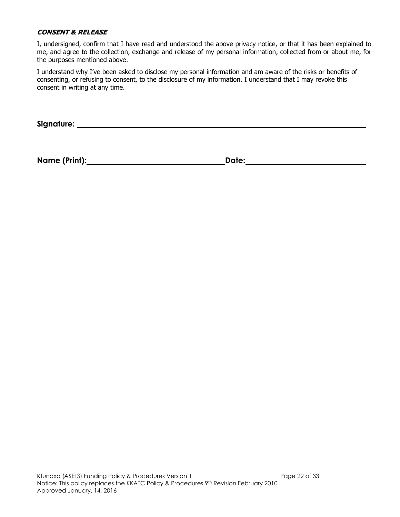#### **CONSENT & RELEASE**

I, undersigned, confirm that I have read and understood the above privacy notice, or that it has been explained to me, and agree to the collection, exchange and release of my personal information, collected from or about me, for the purposes mentioned above.

I understand why I've been asked to disclose my personal information and am aware of the risks or benefits of consenting, or refusing to consent, to the disclosure of my information. I understand that I may revoke this consent in writing at any time.

**Signature:** 

| Name (Print): | Date: |  |
|---------------|-------|--|
|               |       |  |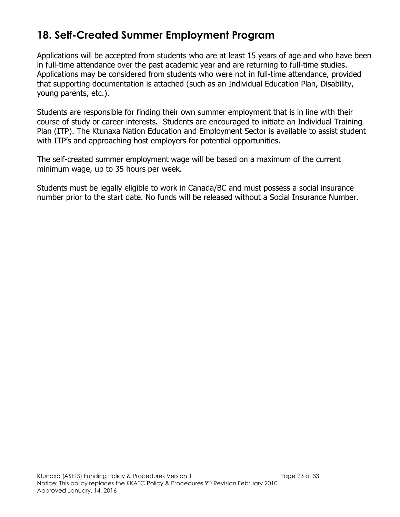### **18. Self-Created Summer Employment Program**

Applications will be accepted from students who are at least 15 years of age and who have been in full-time attendance over the past academic year and are returning to full-time studies. Applications may be considered from students who were not in full-time attendance, provided that supporting documentation is attached (such as an Individual Education Plan, Disability, young parents, etc.).

Students are responsible for finding their own summer employment that is in line with their course of study or career interests. Students are encouraged to initiate an Individual Training Plan (ITP). The Ktunaxa Nation Education and Employment Sector is available to assist student with ITP's and approaching host employers for potential opportunities.

The self-created summer employment wage will be based on a maximum of the current minimum wage, up to 35 hours per week.

Students must be legally eligible to work in Canada/BC and must possess a social insurance number prior to the start date. No funds will be released without a Social Insurance Number.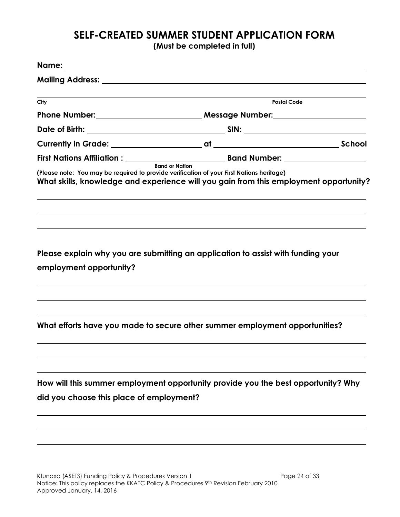### **SELF-CREATED SUMMER STUDENT APPLICATION FORM**

**(Must be completed in full)**

| City                                                                                      | <b>Postal Code</b>                                                                    |  |
|-------------------------------------------------------------------------------------------|---------------------------------------------------------------------------------------|--|
|                                                                                           |                                                                                       |  |
|                                                                                           |                                                                                       |  |
|                                                                                           |                                                                                       |  |
|                                                                                           | <b>Band or Nation</b>                                                                 |  |
| (Please note: You may be required to provide verification of your First Nations heritage) | What skills, knowledge and experience will you gain from this employment opportunity? |  |
| employment opportunity?                                                                   | Please explain why you are submitting an application to assist with funding your      |  |
|                                                                                           | What efforts have you made to secure other summer employment opportunities?           |  |
| did you choose this place of employment?                                                  | How will this summer employment opportunity provide you the best opportunity? Why     |  |
|                                                                                           |                                                                                       |  |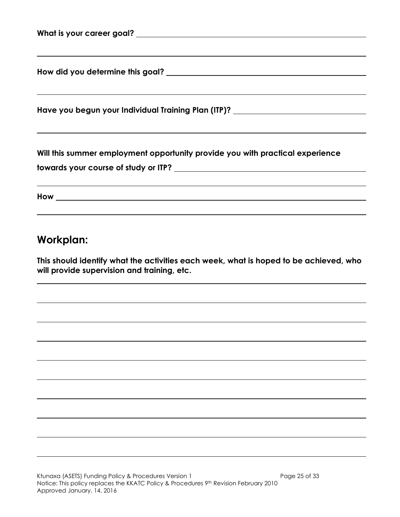| Have you begun your Individual Training Plan (ITP)? ____________________________<br>,我们也不会有什么。""我们的人,我们也不会有什么?""我们的人,我们也不会有什么?""我们的人,我们也不会有什么?""我们的人,我们也不会有什么?""我们的人 |  |  |
|----------------------------------------------------------------------------------------------------------------------------------------------------------------------|--|--|
| Will this summer employment opportunity provide you with practical experience                                                                                        |  |  |
| <u> 1989 - Johann Stoff, amerikansk politiker (d. 1989)</u>                                                                                                          |  |  |

### **Workplan:**

**This should identify what the activities each week, what is hoped to be achieved, who will provide supervision and training, etc.**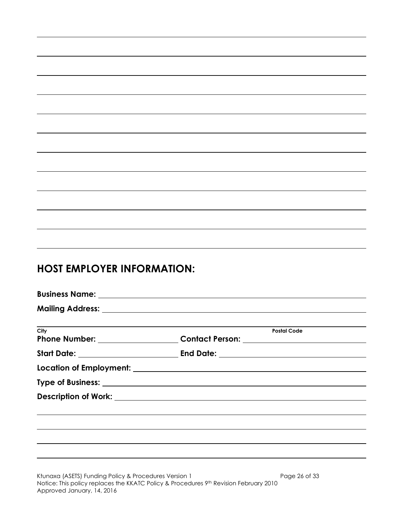### **HOST EMPLOYER INFORMATION:**

| City | <b>Postal Code</b><br>Phone Number: __________________________Contact Person: ________________________ |
|------|--------------------------------------------------------------------------------------------------------|
|      |                                                                                                        |
|      |                                                                                                        |
|      |                                                                                                        |
|      |                                                                                                        |
|      |                                                                                                        |
|      |                                                                                                        |
|      |                                                                                                        |
|      |                                                                                                        |
|      |                                                                                                        |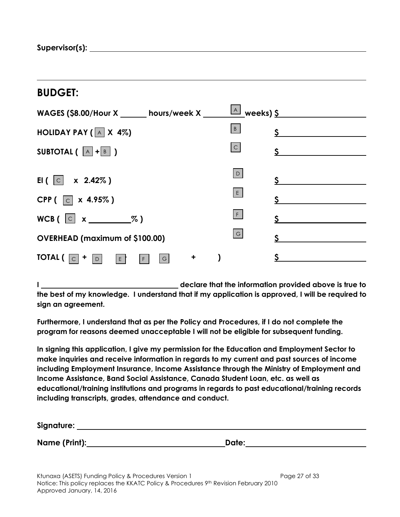| <b>BUDGET:</b>                                         |                                                            |
|--------------------------------------------------------|------------------------------------------------------------|
| WAGES (\$8.00/Hour X hours/week X                      | $\boxed{A}$ weeks) $\frac{S}{S}$                           |
| <b>HOLIDAY PAY (<math>\boxed{A}</math> X 4%)</b>       | $\vert$ B<br>\$                                            |
| SUBTOTAL $( A + B )$                                   | C <br>S.                                                   |
| EI ( $ c  \times 2.42\%$ )                             | $\begin{array}{ c c } \hline \textbf{D} \end{array}$<br>S. |
| CPP ( $\boxed{\circ}$ x 4.95%)                         | E<br>Š.                                                    |
| $WCB$ ( $\begin{bmatrix} c & x & -x \end{bmatrix}$ % ) | $\vert \mathsf{F} \vert$<br>S.                             |
| <b>OVERHEAD (maximum of \$100.00)</b>                  | $\vert G \vert$                                            |
| TOTAL (<br>٠.<br>E<br>G<br>IF<br> C <br>D              |                                                            |

**I declare that the information provided above is true to the best of my knowledge. I understand that if my application is approved, I will be required to sign an agreement.** 

**Furthermore, I understand that as per the Policy and Procedures, if I do not complete the program for reasons deemed unacceptable I will not be eligible for subsequent funding.**

**In signing this application, I give my permission for the Education and Employment Sector to make inquiries and receive information in regards to my current and past sources of income including Employment Insurance, Income Assistance through the Ministry of Employment and Income Assistance, Band Social Assistance, Canada Student Loan, etc. as well as educational/training institutions and programs in regards to past educational/training records including transcripts, grades, attendance and conduct.**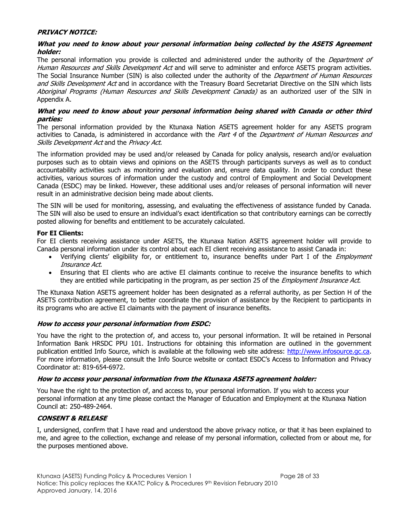#### **PRIVACY NOTICE:**

#### **What you need to know about your personal information being collected by the ASETS Agreement holder:**

The personal information you provide is collected and administered under the authority of the *Department of* Human Resources and Skills Development Act and will serve to administer and enforce ASETS program activities. The Social Insurance Number (SIN) is also collected under the authority of the *Department of Human Resources* and Skills Development Act and in accordance with the Treasury Board Secretariat Directive on the SIN which lists Aboriginal Programs (Human Resources and Skills Development Canada) as an authorized user of the SIN in Appendix A.

#### **What you need to know about your personal information being shared with Canada or other third parties:**

The personal information provided by the Ktunaxa Nation ASETS agreement holder for any ASETS program activities to Canada, is administered in accordance with the Part 4 of the Department of Human Resources and Skills Development Act and the Privacy Act.

The information provided may be used and/or released by Canada for policy analysis, research and/or evaluation purposes such as to obtain views and opinions on the ASETS through participants surveys as well as to conduct accountability activities such as monitoring and evaluation and, ensure data quality. In order to conduct these activities, various sources of information under the custody and control of Employment and Social Development Canada (ESDC) may be linked. However, these additional uses and/or releases of personal information will never result in an administrative decision being made about clients.

The SIN will be used for monitoring, assessing, and evaluating the effectiveness of assistance funded by Canada. The SIN will also be used to ensure an individual's exact identification so that contributory earnings can be correctly posted allowing for benefits and entitlement to be accurately calculated.

#### **For EI Clients:**

For EI clients receiving assistance under ASETS, the Ktunaxa Nation ASETS agreement holder will provide to Canada personal information under its control about each EI client receiving assistance to assist Canada in:

- Verifying clients' eligibility for, or entitlement to, insurance benefits under Part I of the *Employment* Insurance Act.
- Ensuring that EI clients who are active EI claimants continue to receive the insurance benefits to which they are entitled while participating in the program, as per section 25 of the *Employment Insurance Act*.

The Ktunaxa Nation ASETS agreement holder has been designated as a referral authority, as per Section H of the ASETS contribution agreement, to better coordinate the provision of assistance by the Recipient to participants in its programs who are active EI claimants with the payment of insurance benefits.

#### **How to access your personal information from ESDC:**

You have the right to the protection of, and access to, your personal information. It will be retained in Personal Information Bank HRSDC PPU 101. Instructions for obtaining this information are outlined in the government publication entitled Info Source, which is available at the following web site address: [http://www.infosource.gc.ca.](http://www.infosource.gc.ca/) For more information, please consult the Info Source website or contact ESDC's Access to Information and Privacy Coordinator at: 819-654-6972.

#### **How to access your personal information from the Ktunaxa ASETS agreement holder:**

You have the right to the protection of, and access to, your personal information. If you wish to access your personal information at any time please contact the Manager of Education and Employment at the Ktunaxa Nation Council at: 250-489-2464.

#### **CONSENT & RELEASE**

I, undersigned, confirm that I have read and understood the above privacy notice, or that it has been explained to me, and agree to the collection, exchange and release of my personal information, collected from or about me, for the purposes mentioned above.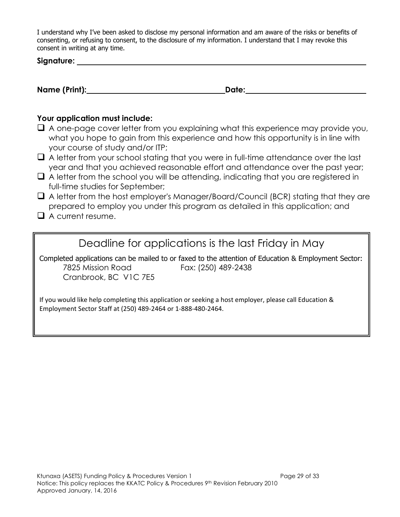I understand why I've been asked to disclose my personal information and am aware of the risks or benefits of consenting, or refusing to consent, to the disclosure of my information. I understand that I may revoke this consent in writing at any time.

**Signature:** 

| Name (Print): | Date: |  |
|---------------|-------|--|
|               |       |  |

### **Your application must include:**

- $\Box$  A one-page cover letter from you explaining what this experience may provide you, what you hope to gain from this experience and how this opportunity is in line with your course of study and/or ITP;
- $\Box$  A letter from your school stating that you were in full-time attendance over the last year and that you achieved reasonable effort and attendance over the past year;
- $\Box$  A letter from the school you will be attending, indicating that you are registered in full-time studies for September;
- A letter from the host employer's Manager/Board/Council (BCR) stating that they are prepared to employ you under this program as detailed in this application; and
- $\Box$  A current resume.

Deadline for applications is the last Friday in May

Completed applications can be mailed to or faxed to the attention of Education & Employment Sector: 7825 Mission Road Fax: (250) 489-2438 Cranbrook, BC V1C 7E5

If you would like help completing this application or seeking a host employer, please call Education & Employment Sector Staff at (250) 489-2464 or 1-888-480-2464.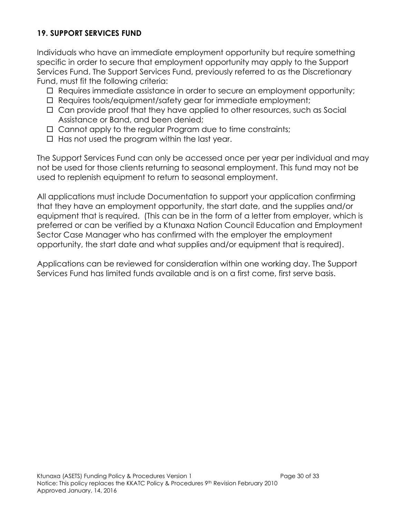### **19. SUPPORT SERVICES FUND**

Individuals who have an immediate employment opportunity but require something specific in order to secure that employment opportunity may apply to the Support Services Fund. The Support Services Fund, previously referred to as the Discretionary Fund, must fit the following criteria:

- Requires immediate assistance in order to secure an employment opportunity;
- $\Box$  Requires tools/equipment/safety gear for immediate employment;
- $\Box$  Can provide proof that they have applied to other resources, such as Social Assistance or Band, and been denied;
- $\Box$  Cannot apply to the regular Program due to time constraints;
- $\Box$  Has not used the program within the last year.

The Support Services Fund can only be accessed once per year per individual and may not be used for those clients returning to seasonal employment. This fund may not be used to replenish equipment to return to seasonal employment.

All applications must include Documentation to support your application confirming that they have an employment opportunity, the start date, and the supplies and/or equipment that is required. (This can be in the form of a letter from employer, which is preferred or can be verified by a Ktunaxa Nation Council Education and Employment Sector Case Manager who has confirmed with the employer the employment opportunity, the start date and what supplies and/or equipment that is required).

Applications can be reviewed for consideration within one working day. The Support Services Fund has limited funds available and is on a first come, first serve basis.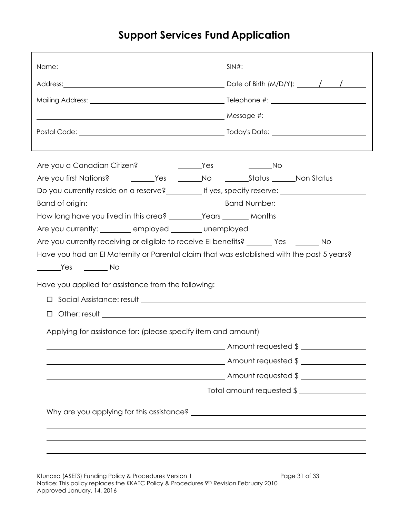# **Support Services Fund Application**

| Are you a Canadian Citizen?                 ________Yes             ________No                                                                                                                                                      |
|-------------------------------------------------------------------------------------------------------------------------------------------------------------------------------------------------------------------------------------|
|                                                                                                                                                                                                                                     |
| Do you currently reside on a reserve?____________ If yes, specify reserve: _________________________                                                                                                                                |
| Band of origin: <u>contract and all and in Band Number:</u> Canada Number: 2008. The Sand Number: 2008. The Sand Number: 2008. The Sand Number: 2008. The Sand Number: 2008. The Sand Number: 2008. The Sand Number: 2008. The Sand |
| How long have you lived in this area? ________Years _______ Months                                                                                                                                                                  |
| Are you currently: ________ employed _______ unemployed                                                                                                                                                                             |
| Are you currently receiving or eligible to receive El benefits? _______ Yes _______ No                                                                                                                                              |
| Have you had an El Maternity or Parental claim that was established with the past 5 years?                                                                                                                                          |
|                                                                                                                                                                                                                                     |
| Have you applied for assistance from the following:                                                                                                                                                                                 |
|                                                                                                                                                                                                                                     |
|                                                                                                                                                                                                                                     |
| Applying for assistance for: (please specify item and amount)                                                                                                                                                                       |
|                                                                                                                                                                                                                                     |
|                                                                                                                                                                                                                                     |
| _______ Amount requested \$ _________________                                                                                                                                                                                       |
| Total amount requested \$                                                                                                                                                                                                           |
|                                                                                                                                                                                                                                     |
|                                                                                                                                                                                                                                     |
|                                                                                                                                                                                                                                     |
|                                                                                                                                                                                                                                     |
|                                                                                                                                                                                                                                     |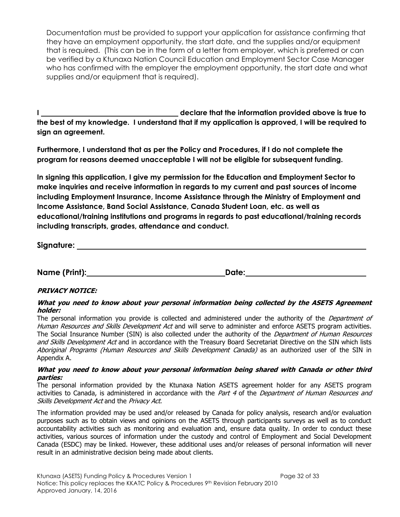Documentation must be provided to support your application for assistance confirming that they have an employment opportunity, the start date, and the supplies and/or equipment that is required. (This can be in the form of a letter from employer, which is preferred or can be verified by a Ktunaxa Nation Council Education and Employment Sector Case Manager who has confirmed with the employer the employment opportunity, the start date and what supplies and/or equipment that is required).

**I declare that the information provided above is true to the best of my knowledge. I understand that if my application is approved, I will be required to sign an agreement.** 

**Furthermore, I understand that as per the Policy and Procedures, if I do not complete the program for reasons deemed unacceptable I will not be eligible for subsequent funding.**

**In signing this application, I give my permission for the Education and Employment Sector to make inquiries and receive information in regards to my current and past sources of income including Employment Insurance, Income Assistance through the Ministry of Employment and Income Assistance, Band Social Assistance, Canada Student Loan, etc. as well as educational/training institutions and programs in regards to past educational/training records including transcripts, grades, attendance and conduct.**

**Signature:** 

**Name (Print): Date:**

### **PRIVACY NOTICE:**

#### **What you need to know about your personal information being collected by the ASETS Agreement holder:**

The personal information you provide is collected and administered under the authority of the *Department of* Human Resources and Skills Development Act and will serve to administer and enforce ASETS program activities. The Social Insurance Number (SIN) is also collected under the authority of the *Department of Human Resources* and Skills Development Act and in accordance with the Treasury Board Secretariat Directive on the SIN which lists Aboriginal Programs (Human Resources and Skills Development Canada) as an authorized user of the SIN in Appendix A.

#### **What you need to know about your personal information being shared with Canada or other third parties:**

The personal information provided by the Ktunaxa Nation ASETS agreement holder for any ASETS program activities to Canada, is administered in accordance with the Part 4 of the Department of Human Resources and Skills Development Act and the Privacy Act.

The information provided may be used and/or released by Canada for policy analysis, research and/or evaluation purposes such as to obtain views and opinions on the ASETS through participants surveys as well as to conduct accountability activities such as monitoring and evaluation and, ensure data quality. In order to conduct these activities, various sources of information under the custody and control of Employment and Social Development Canada (ESDC) may be linked. However, these additional uses and/or releases of personal information will never result in an administrative decision being made about clients.